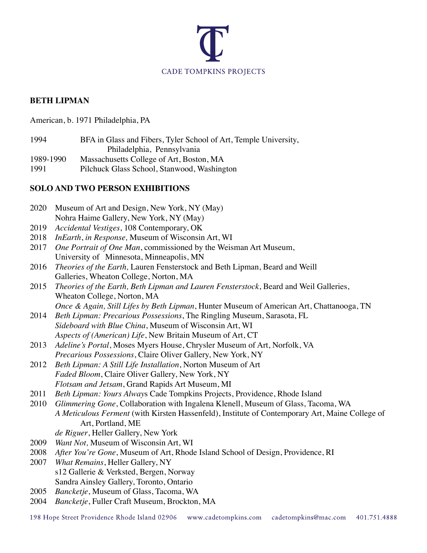

# **BETH LIPMAN**

American, b. 1971 Philadelphia, PA

1994 BFA in Glass and Fibers, Tyler School of Art, Temple University, Philadelphia, Pennsylvania

1989-1990 Massachusetts College of Art, Boston, MA

1991 Pilchuck Glass School, Stanwood, Washington

# **SOLO AND TWO PERSON EXHIBITIONS**

| 2020 | Museum of Art and Design, New York, NY (May)                                                                             |
|------|--------------------------------------------------------------------------------------------------------------------------|
|      | Nohra Haime Gallery, New York, NY (May)                                                                                  |
| 2019 | Accidental Vestiges, 108 Contemporary, OK                                                                                |
| 2018 | InEarth, in Response, Museum of Wisconsin Art, WI                                                                        |
| 2017 | One Portrait of One Man, commissioned by the Weisman Art Museum,                                                         |
|      | University of Minnesota, Minneapolis, MN                                                                                 |
| 2016 | Theories of the Earth, Lauren Fensterstock and Beth Lipman, Beard and Weill                                              |
|      | Galleries, Wheaton College, Norton, MA                                                                                   |
| 2015 | Theories of the Earth, Beth Lipman and Lauren Fensterstock, Beard and Weil Galleries,                                    |
|      | Wheaton College, Norton, MA                                                                                              |
|      | Once & Again, Still Lifes by Beth Lipman, Hunter Museum of American Art, Chattanooga, TN                                 |
| 2014 | Beth Lipman: Precarious Possessions, The Ringling Museum, Sarasota, FL                                                   |
|      | Sideboard with Blue China, Museum of Wisconsin Art, WI                                                                   |
|      | Aspects of (American) Life, New Britain Museum of Art, CT                                                                |
| 2013 | Adeline's Portal, Moses Myers House, Chrysler Museum of Art, Norfolk, VA                                                 |
|      | Precarious Possessions, Claire Oliver Gallery, New York, NY                                                              |
| 2012 | Beth Lipman: A Still Life Installation, Norton Museum of Art                                                             |
|      | Faded Bloom, Claire Oliver Gallery, New York, NY                                                                         |
|      | Flotsam and Jetsam, Grand Rapids Art Museum, MI                                                                          |
| 2011 | Beth Lipman: Yours Always Cade Tompkins Projects, Providence, Rhode Island                                               |
| 2010 | Glimmering Gone, Collaboration with Ingalena Klenell, Museum of Glass, Tacoma, WA                                        |
|      | A Meticulous Ferment (with Kirsten Hassenfeld), Institute of Contemporary Art, Maine College of                          |
|      | Art, Portland, ME                                                                                                        |
|      | de Riguer, Heller Gallery, New York                                                                                      |
| 2009 | Want Not, Museum of Wisconsin Art, WI                                                                                    |
| 2008 | After You're Gone, Museum of Art, Rhode Island School of Design, Providence, RI                                          |
| 2007 | What Remains, Heller Gallery, NY                                                                                         |
|      | s12 Gallerie & Verksted, Bergen, Norway                                                                                  |
|      | Sandra Ainsley Gallery, Toronto, Ontario                                                                                 |
| 2005 | Bancketje, Museum of Glass, Tacoma, WA                                                                                   |
| 2004 | Bancketje, Fuller Craft Museum, Brockton, MA                                                                             |
|      | 100 Hans Creat Description of Dhada Island 02006 running adaptampling samples adaptampling@mas.com<br>$A \cap 1$ 751 $A$ |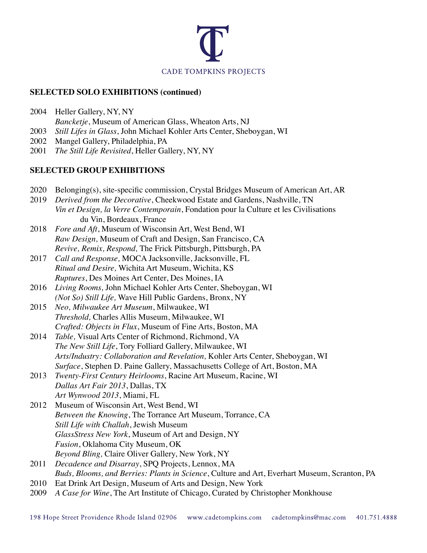

### **SELECTED SOLO EXHIBITIONS (continued)**

- 2004 Heller Gallery, NY, NY *Bancketje*, Museum of American Glass, Wheaton Arts, NJ
- 2003 *Still Lifes in Glass*, John Michael Kohler Arts Center, Sheboygan, WI
- 2002 Mangel Gallery, Philadelphia, PA
- 2001 *The Still Life Revisited*, Heller Gallery, NY, NY

# **SELECTED GROUP EXHIBITIONS**

- 2020 Belonging(s), site-specific commission, Crystal Bridges Museum of American Art, AR
- 2019 *Derived from the Decorative*, Cheekwood Estate and Gardens, Nashville, TN *Vin et Design, la Verre Contemporain*, Fondation pour la Culture et les Civilisations du Vin, Bordeaux, France
- 2018 *Fore and Aft*, Museum of Wisconsin Art, West Bend, WI *Raw Design,* Museum of Craft and Design, San Francisco, CA *Revive, Remix, Respond,* The Frick Pittsburgh, Pittsburgh, PA
- 2017 *Call and Response,* MOCA Jacksonville, Jacksonville, FL *Ritual and Desire,* Wichita Art Museum, Wichita, KS *Ruptures*, Des Moines Art Center, Des Moines, IA
- 2016 *Living Rooms,* John Michael Kohler Arts Center, Sheboygan, WI *(Not So) Still Life,* Wave Hill Public Gardens, Bronx, NY
- 2015 *Neo, Milwaukee Art Museum*, Milwaukee, WI *Threshold,* Charles Allis Museum, Milwaukee, WI *Crafted: Objects in Flux*, Museum of Fine Arts, Boston, MA
- 2014 *Table,* Visual Arts Center of Richmond, Richmond, VA *The New Still Life*, Tory Folliard Gallery, Milwaukee, WI *Arts/Industry: Collaboration and Revelation,* Kohler Arts Center, Sheboygan, WI *Surface*, Stephen D. Paine Gallery, Massachusetts College of Art, Boston, MA
- 2013 *Twenty-First Century Heirlooms*, Racine Art Museum, Racine, WI *Dallas Art Fair 2013*, Dallas, TX *Art Wynwood 2013*, Miami, FL
- 2012 Museum of Wisconsin Art, West Bend, WI *Between the Knowing*, The Torrance Art Museum, Torrance, CA *Still Life with Challah*, Jewish Museum *GlassStress New York*, Museum of Art and Design, NY *Fusion*, Oklahoma City Museum, OK *Beyond Bling,* Claire Oliver Gallery, New York, NY
- 2011 *Decadence and Disarray*, SPQ Projects, Lennox, MA *Buds, Blooms, and Berries: Plants in Science*, Culture and Art, Everhart Museum, Scranton, PA
- 2010 Eat Drink Art Design, Museum of Arts and Design, New York
- 2009 *A Case for Wine*, The Art Institute of Chicago, Curated by Christopher Monkhouse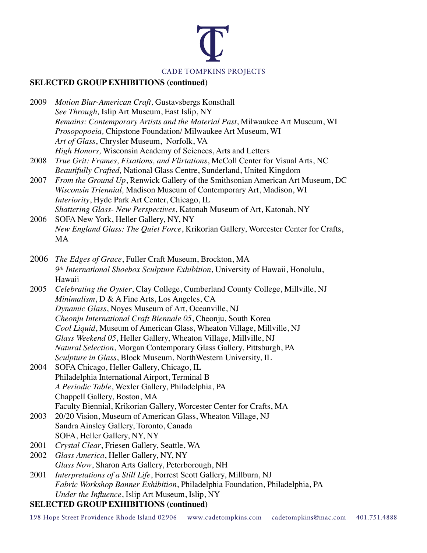

# **SELECTED GROUP EXHIBITIONS (continued)**

| 2009 | Motion Blur-American Craft, Gustavsbergs Konsthall                            |
|------|-------------------------------------------------------------------------------|
|      | See Through, Islip Art Museum, East Islip, NY                                 |
|      | Remains: Contemporary Artists and the Material Past, Milwaukee Art Museum, WI |
|      | Prosopopoeia, Chipstone Foundation/Milwaukee Art Museum, WI                   |
|      | Art of Glass, Chrysler Museum, Norfolk, VA                                    |
|      | High Honors, Wisconsin Academy of Sciences, Arts and Letters                  |

- 2008 *True Grit: Frames, Fixations, and Flirtations*, McColl Center for Visual Arts, NC *Beautifully Crafted,* National Glass Centre, Sunderland, United Kingdom
- 2007 *From the Ground Up*, Renwick Gallery of the Smithsonian American Art Museum, DC *Wisconsin Triennial,* Madison Museum of Contemporary Art, Madison, WI *Interiority*, Hyde Park Art Center, Chicago, IL *Shattering Glass- New Perspectives*, Katonah Museum of Art, Katonah, NY
- 2006 SOFA New York, Heller Gallery, NY, NY *New England Glass: The Quiet Force*, Krikorian Gallery, Worcester Center for Crafts, MA
- 2006 *The Edges of Grace*, Fuller Craft Museum, Brockton, MA *9th International Shoebox Sculpture Exhibition*, University of Hawaii, Honolulu, Hawaii
- 2005 *Celebrating the Oyster*, Clay College, Cumberland County College, Millville, NJ *Minimalism*, D & A Fine Arts, Los Angeles, CA *Dynamic Glass*, Noyes Museum of Art, Oceanville, NJ *Cheonju International Craft Biennale 05*, Cheonju, South Korea *Cool Liquid*, Museum of American Glass, Wheaton Village, Millville, NJ *Glass Weekend 05*, Heller Gallery, Wheaton Village, Millville, NJ *Natural Selection*, Morgan Contemporary Glass Gallery, Pittsburgh, PA *Sculpture in Glass*, Block Museum, NorthWestern University, IL
- 2004 SOFA Chicago, Heller Gallery, Chicago, IL Philadelphia International Airport, Terminal B *A Periodic Table*, Wexler Gallery, Philadelphia, PA Chappell Gallery, Boston, MA Faculty Biennial, Krikorian Gallery, Worcester Center for Crafts, MA
- 2003 20/20 Vision, Museum of American Glass, Wheaton Village, NJ Sandra Ainsley Gallery, Toronto, Canada SOFA, Heller Gallery, NY, NY
- 2001 *Crystal Clear*, Friesen Gallery, Seattle, WA
- 2002 *Glass America*, Heller Gallery, NY, NY *Glass Now*, Sharon Arts Gallery, Peterborough, NH
- 2001 *Interpretations of a Still Life*, Forrest Scott Gallery, Millburn, NJ *Fabric Workshop Banner Exhibition*, Philadelphia Foundation, Philadelphia, PA *Under the Influence*, Islip Art Museum, Islip, NY

# **SELECTED GROUP EXHIBITIONS (continued)**

198 Hope Street Providence Rhode Island 02906 www.cadetompkins.com cadetompkins@mac.com 401.751.4888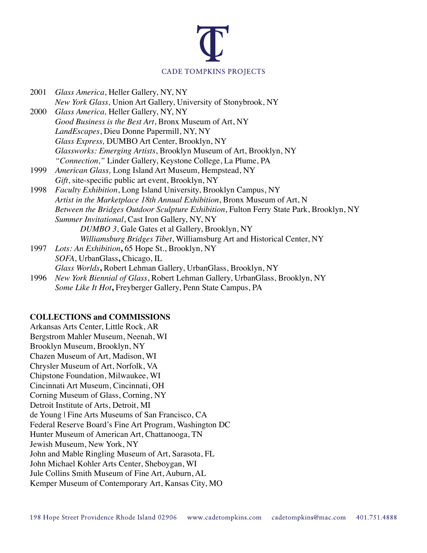

| 2001 | Glass America, Heller Gallery, NY, NY                                                   |
|------|-----------------------------------------------------------------------------------------|
|      | New York Glass, Union Art Gallery, University of Stonybrook, NY                         |
| 2000 | Glass America, Heller Gallery, NY, NY                                                   |
|      | Good Business is the Best Art, Bronx Museum of Art, NY                                  |
|      | <i>LandEscapes</i> , Dieu Donne Papermill, NY, NY                                       |
|      | Glass Express, DUMBO Art Center, Brooklyn, NY                                           |
|      | Glassworks: Emerging Artists, Brooklyn Museum of Art, Brooklyn, NY                      |
|      | "Connection," Linder Gallery, Keystone College, La Plume, PA                            |
| 1999 | American Glass, Long Island Art Museum, Hempstead, NY                                   |
|      | Gift, site-specific public art event, Brooklyn, NY                                      |
| 1998 | <i>Faculty Exhibition</i> , Long Island University, Brooklyn Campus, NY                 |
|      | Artist in the Marketplace 18th Annual Exhibition, Bronx Museum of Art, N                |
|      | Between the Bridges Outdoor Sculpture Exhibition, Fulton Ferry State Park, Brooklyn, NY |
|      | Summer Invitational, Cast Iron Gallery, NY, NY                                          |
|      | DUMBO 3, Gale Gates et al Gallery, Brooklyn, NY                                         |
|      | Williamsburg Bridges Tibet, Williamsburg Art and Historical Center, NY                  |
| 1997 | Lots: An Exhibition, 65 Hope St., Brooklyn, NY                                          |
|      | SOFA, UrbanGlass, Chicago, IL                                                           |
|      | Glass Worlds, Robert Lehman Gallery, UrbanGlass, Brooklyn, NY                           |
|      |                                                                                         |

1996 *New York Biennial of Glass*, Robert Lehman Gallery, UrbanGlass, Brooklyn, NY *Some Like It Hot***,** Freyberger Gallery, Penn State Campus, PA

#### **COLLECTIONS and COMMISSIONS**

Arkansas Arts Center, Little Rock, AR Bergstrom Mahler Museum, Neenah, WI Brooklyn Museum, Brooklyn, NY Chazen Museum of Art, Madison, WI Chrysler Museum of Art, Norfolk, VA Chipstone Foundation, Milwaukee, WI Cincinnati Art Museum, Cincinnati, OH Corning Museum of Glass, Corning, NY Detroit Institute of Arts, Detroit, MI de Young | Fine Arts Museums of San Francisco, CA Federal Reserve Board's Fine Art Program, Washington DC Hunter Museum of American Art, Chattanooga, TN Jewish Museum, New York, NY John and Mable Ringling Museum of Art, Sarasota, FL John Michael Kohler Arts Center, Sheboygan, WI Jule Collins Smith Museum of Fine Art, Auburn, AL Kemper Museum of Contemporary Art, Kansas City, MO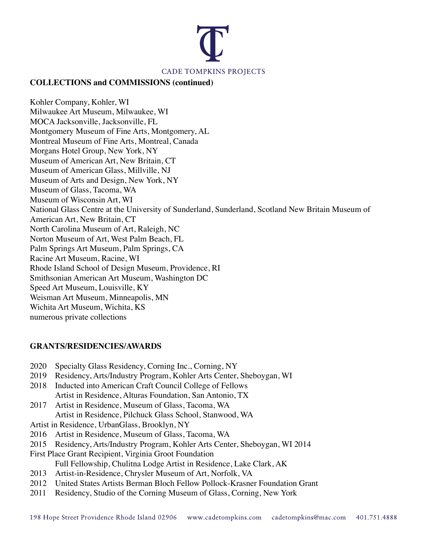

#### **COLLECTIONS and COMMISSIONS (continued)**

Kohler Company, Kohler, WI Milwaukee Art Museum, Milwaukee, WI MOCA Jacksonville, Jacksonville, FL Montgomery Museum of Fine Arts, Montgomery, AL Montreal Museum of Fine Arts, Montreal, Canada Morgans Hotel Group, New York, NY Museum of American Art, New Britain, CT Museum of American Glass, Millville, NJ Museum of Arts and Design, New York, NY Museum of Glass, Tacoma, WA Museum of Wisconsin Art, WI National Glass Centre at the University of Sunderland, Sunderland, Scotland New Britain Museum of American Art, New Britain, CT North Carolina Museum of Art, Raleigh, NC Norton Museum of Art, West Palm Beach, FL Palm Springs Art Museum, Palm Springs, CA Racine Art Museum, Racine, WI Rhode Island School of Design Museum, Providence, RI Smithsonian American Art Museum, Washington DC Speed Art Museum, Louisville, KY Weisman Art Museum, Minneapolis, MN Wichita Art Museum, Wichita, KS numerous private collections

#### **GRANTS/RESIDENCIES/AWARDS**

- 2020 Specialty Glass Residency, Corning Inc., Corning, NY
- 2019 Residency, Arts/Industry Program, Kohler Arts Center, Sheboygan, WI
- 2018 Inducted into American Craft Council College of Fellows Artist in Residence, Alturas Foundation, San Antonio, TX
- 2017 Artist in Residence, Museum of Glass, Tacoma, WA Artist in Residence, Pilchuck Glass School, Stanwood, WA
- Artist in Residence, UrbanGlass, Brooklyn, NY
- 2016 Artist in Residence, Museum of Glass, Tacoma, WA
- 2015 Residency, Arts/Industry Program, Kohler Arts Center, Sheboygan, WI 2014
- First Place Grant Recipient, Virginia Groot Foundation
	- Full Fellowship, Chulitna Lodge Artist in Residence, Lake Clark, AK
- 2013 Artist-in-Residence, Chrysler Museum of Art, Norfolk, VA
- 2012 United States Artists Berman Bloch Fellow Pollock-Krasner Foundation Grant
- 2011 Residency, Studio of the Corning Museum of Glass, Corning, New York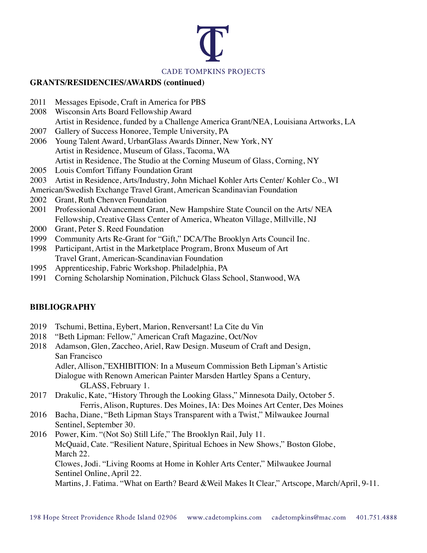

#### **GRANTS/RESIDENCIES/AWARDS (continued)**

- 2011 Messages Episode, Craft in America for PBS
- 2008 Wisconsin Arts Board Fellowship Award Artist in Residence, funded by a Challenge America Grant/NEA, Louisiana Artworks, LA
- 2007 Gallery of Success Honoree, Temple University, PA
- 2006 Young Talent Award, UrbanGlass Awards Dinner, New York, NY Artist in Residence, Museum of Glass, Tacoma, WA Artist in Residence, The Studio at the Corning Museum of Glass, Corning, NY
- 2005 Louis Comfort Tiffany Foundation Grant
- 2003 Artist in Residence, Arts/Industry, John Michael Kohler Arts Center/ Kohler Co., WI
- American/Swedish Exchange Travel Grant, American Scandinavian Foundation
- 2002 Grant, Ruth Chenven Foundation
- 2001 Professional Advancement Grant, New Hampshire State Council on the Arts/ NEA Fellowship, Creative Glass Center of America, Wheaton Village, Millville, NJ
- 2000 Grant, Peter S. Reed Foundation
- 1999 Community Arts Re-Grant for "Gift," DCA/The Brooklyn Arts Council Inc.
- 1998 Participant, Artist in the Marketplace Program, Bronx Museum of Art Travel Grant, American-Scandinavian Foundation
- 1995 Apprenticeship, Fabric Workshop. Philadelphia, PA
- 1991 Corning Scholarship Nomination, Pilchuck Glass School, Stanwood, WA

# **BIBLIOGRAPHY**

- 2019 Tschumi, Bettina, Eybert, Marion, Renversant! La Cite du Vin
- 2018 "Beth Lipman: Fellow," American Craft Magazine, Oct/Nov
- 2018 Adamson, Glen, Zaccheo, Ariel, Raw Design. Museum of Craft and Design, San Francisco Adler, Allison,"EXHIBITION: In a Museum Commission Beth Lipman's Artistic

Dialogue with Renown American Painter Marsden Hartley Spans a Century, GLASS, February 1.

- 2017 Drakulic, Kate, "History Through the Looking Glass," Minnesota Daily, October 5. Ferris, Alison, Ruptures. Des Moines, IA: Des Moines Art Center, Des Moines
- 2016 Bacha, Diane, "Beth Lipman Stays Transparent with a Twist," Milwaukee Journal Sentinel, September 30.
- 2016 Power, Kim. "(Not So) Still Life," The Brooklyn Rail, July 11. McQuaid, Cate. "Resilient Nature, Spiritual Echoes in New Shows," Boston Globe, March 22. Clowes, Jodi. "Living Rooms at Home in Kohler Arts Center," Milwaukee Journal Sentinel Online, April 22. Martins, J. Fatima. "What on Earth? Beard &Weil Makes It Clear," Artscope, March/April, 9-11.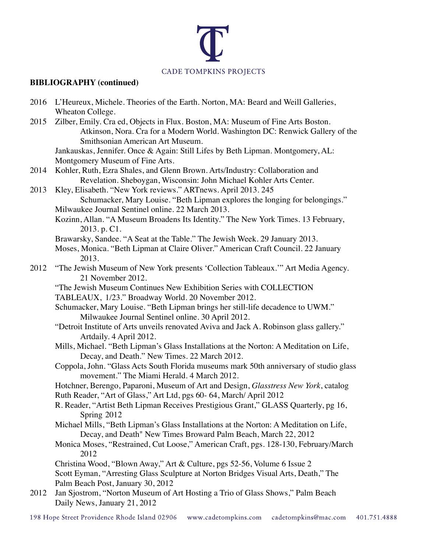

# **BIBLIOGRAPHY (continued)**

|      | 2016 L'Heureux, Michele. Theories of the Earth. Norton, MA: Beard and Weill Galleries,<br>Wheaton College.                                                                                           |
|------|------------------------------------------------------------------------------------------------------------------------------------------------------------------------------------------------------|
| 2015 | Zilber, Emily. Cra ed, Objects in Flux. Boston, MA: Museum of Fine Arts Boston.<br>Atkinson, Nora. Cra for a Modern World. Washington DC: Renwick Gallery of the<br>Smithsonian American Art Museum. |
|      | Jankauskas, Jennifer. Once & Again: Still Lifes by Beth Lipman. Montgomery, AL:<br>Montgomery Museum of Fine Arts.                                                                                   |
| 2014 | Kohler, Ruth, Ezra Shales, and Glenn Brown. Arts/Industry: Collaboration and<br>Revelation. Sheboygan, Wisconsin: John Michael Kohler Arts Center.                                                   |
| 2013 | Kley, Elisabeth. "New York reviews." ARTnews. April 2013. 245<br>Schumacker, Mary Louise. "Beth Lipman explores the longing for belongings."                                                         |
|      | Milwaukee Journal Sentinel online. 22 March 2013.                                                                                                                                                    |
|      | Kozinn, Allan. "A Museum Broadens Its Identity." The New York Times. 13 February,<br>2013. p. C1.                                                                                                    |
|      | Brawarsky, Sandee. "A Seat at the Table." The Jewish Week. 29 January 2013.<br>Moses, Monica. "Beth Lipman at Claire Oliver." American Craft Council. 22 January<br>2013.                            |
| 2012 | "The Jewish Museum of New York presents 'Collection Tableaux."" Art Media Agency.<br>21 November 2012.                                                                                               |
|      | "The Jewish Museum Continues New Exhibition Series with COLLECTION<br>TABLEAUX, 1/23." Broadway World. 20 November 2012.                                                                             |
|      | Schumacker, Mary Louise. "Beth Lipman brings her still-life decadence to UWM."<br>Milwaukee Journal Sentinel online. 30 April 2012.                                                                  |
|      | "Detroit Institute of Arts unveils renovated Aviva and Jack A. Robinson glass gallery."<br>Artdaily. 4 April 2012.                                                                                   |
|      | Mills, Michael. "Beth Lipman's Glass Installations at the Norton: A Meditation on Life,<br>Decay, and Death." New Times. 22 March 2012.                                                              |
|      | Coppola, John. "Glass Acts South Florida museums mark 50th anniversary of studio glass<br>movement." The Miami Herald. 4 March 2012.                                                                 |
|      | Hotchner, Berengo, Paparoni, Museum of Art and Design, Glasstress New York, catalog<br>Ruth Reader, "Art of Glass," Art Ltd, pgs 60- 64, March/ April 2012                                           |
|      | R. Reader, "Artist Beth Lipman Receives Prestigious Grant," GLASS Quarterly, pg 16,<br>Spring 2012                                                                                                   |
|      | Michael Mills, "Beth Lipman's Glass Installations at the Norton: A Meditation on Life,<br>Decay, and Death" New Times Broward Palm Beach, March 22, 2012                                             |
|      | Monica Moses, "Restrained, Cut Loose," American Craft, pgs. 128-130, February/March<br>2012                                                                                                          |
|      | Christina Wood, "Blown Away," Art & Culture, pgs 52-56, Volume 6 Issue 2<br>Scott Eyman, "Arresting Glass Sculpture at Norton Bridges Visual Arts, Death," The                                       |
| 2012 | Palm Beach Post, January 30, 2012<br>Jan Sjostrom, "Norton Museum of Art Hosting a Trio of Glass Shows," Palm Beach<br>Daily News, January 21, 2012                                                  |
|      |                                                                                                                                                                                                      |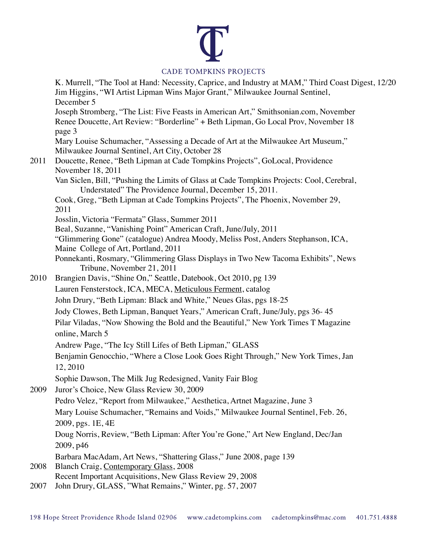# **CADE TOMPKINS PROJECTS**

K. Murrell, "The Tool at Hand: Necessity, Caprice, and Industry at MAM," Third Coast Digest, 12/20 Jim Higgins, "WI Artist Lipman Wins Major Grant," Milwaukee Journal Sentinel, December 5 Joseph Stromberg, "The List: Five Feasts in American Art," Smithsonian.com, November Renee Doucette, Art Review: "Borderline" + Beth Lipman, Go Local Prov, November 18 page 3 Mary Louise Schumacher, "Assessing a Decade of Art at the Milwaukee Art Museum," Milwaukee Journal Sentinel, Art City, October 28 2011 Doucette, Renee, "Beth Lipman at Cade Tompkins Projects", GoLocal, Providence November 18, 2011 Van Siclen, Bill, "Pushing the Limits of Glass at Cade Tompkins Projects: Cool, Cerebral, Understated" The Providence Journal, December 15, 2011. Cook, Greg, "Beth Lipman at Cade Tompkins Projects", The Phoenix, November 29, 2011 Josslin, Victoria "Fermata" Glass, Summer 2011 Beal, Suzanne, "Vanishing Point" American Craft, June/July, 2011 "Glimmering Gone" (catalogue) Andrea Moody, Meliss Post, Anders Stephanson, ICA, Maine College of Art, Portland, 2011 Ponnekanti, Rosmary, "Glimmering Glass Displays in Two New Tacoma Exhibits", News Tribune, November 21, 2011 2010 Brangien Davis, "Shine On," Seattle, Datebook, Oct 2010, pg 139 Lauren Fensterstock, ICA, MECA, Meticulous Ferment, catalog John Drury, "Beth Lipman: Black and White," Neues Glas, pgs 18-25 Jody Clowes, Beth Lipman, Banquet Years," American Craft, June/July, pgs 36- 45 Pilar Viladas, "Now Showing the Bold and the Beautiful," New York Times T Magazine online, March 5 Andrew Page, "The Icy Still Lifes of Beth Lipman," GLASS Benjamin Genocchio, "Where a Close Look Goes Right Through," New York Times, Jan 12, 2010 Sophie Dawson, The Milk Jug Redesigned, Vanity Fair Blog 2009 Juror's Choice, New Glass Review 30, 2009 Pedro Velez, "Report from Milwaukee," Aesthetica, Artnet Magazine, June 3 Mary Louise Schumacher, "Remains and Voids," Milwaukee Journal Sentinel, Feb. 26, 2009, pgs. 1E, 4E Doug Norris, Review, "Beth Lipman: After You're Gone," Art New England, Dec/Jan 2009, p46 Barbara MacAdam, Art News, "Shattering Glass," June 2008, page 139 2008 Blanch Craig, Contemporary Glass, 2008 Recent Important Acquisitions, New Glass Review 29, 2008 2007 John Drury, GLASS, "What Remains," Winter, pg. 57, 2007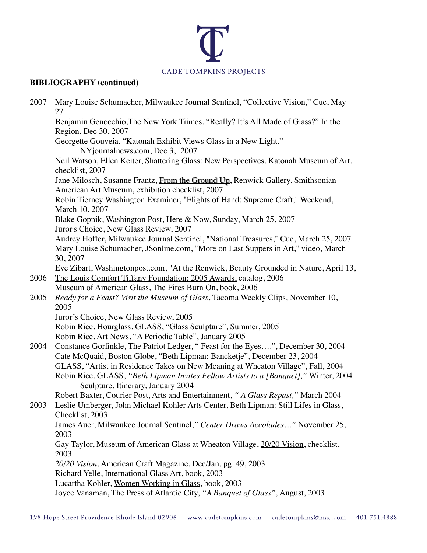

# **BIBLIOGRAPHY (continued)**

| 2007 | Mary Louise Schumacher, Milwaukee Journal Sentinel, "Collective Vision," Cue, May<br>27                                                                                               |
|------|---------------------------------------------------------------------------------------------------------------------------------------------------------------------------------------|
|      | Benjamin Genocchio, The New York Tiimes, "Really? It's All Made of Glass?" In the<br>Region, Dec 30, 2007                                                                             |
|      | Georgette Gouveia, "Katonah Exhibit Views Glass in a New Light,"<br>NYjournalnews.com, Dec 3, 2007                                                                                    |
|      | Neil Watson, Ellen Keiter, Shattering Glass: New Perspectives, Katonah Museum of Art,<br>checklist, 2007                                                                              |
|      | Jane Milosch, Susanne Frantz, From the Ground Up, Renwick Gallery, Smithsonian<br>American Art Museum, exhibition checklist, 2007                                                     |
|      | Robin Tierney Washington Examiner, "Flights of Hand: Supreme Craft," Weekend,<br>March 10, 2007                                                                                       |
|      | Blake Gopnik, Washington Post, Here & Now, Sunday, March 25, 2007<br>Juror's Choice, New Glass Review, 2007                                                                           |
|      | Audrey Hoffer, Milwaukee Journal Sentinel, "National Treasures," Cue, March 25, 2007<br>Mary Louise Schumacher, JSonline.com, "More on Last Suppers in Art," video, March<br>30, 2007 |
| 2006 | Eve Zibart, Washingtonpost.com, "At the Renwick, Beauty Grounded in Nature, April 13,<br>The Louis Comfort Tiffany Foundation: 2005 Awards, catalog, 2006                             |
|      | Museum of American Glass, The Fires Burn On, book, 2006                                                                                                                               |
| 2005 | Ready for a Feast? Visit the Museum of Glass, Tacoma Weekly Clips, November 10,<br>2005                                                                                               |
|      | Juror's Choice, New Glass Review, 2005                                                                                                                                                |
|      | Robin Rice, Hourglass, GLASS, "Glass Sculpture", Summer, 2005                                                                                                                         |
|      | Robin Rice, Art News, "A Periodic Table", January 2005                                                                                                                                |
| 2004 | Constance Gorfinkle, The Patriot Ledger, "Feast for the Eyes", December 30, 2004                                                                                                      |
|      | Cate McQuaid, Boston Globe, "Beth Lipman: Bancketje", December 23, 2004                                                                                                               |
|      | GLASS, "Artist in Residence Takes on New Meaning at Wheaton Village", Fall, 2004                                                                                                      |
|      | Robin Rice, GLASS, "Beth Lipman Invites Fellow Artists to a [Banquet]," Winter, 2004<br>Sculpture, Itinerary, January 2004                                                            |
|      | Robert Baxter, Courier Post, Arts and Entertainment, "A Glass Repast," March 2004                                                                                                     |
| 2003 | Leslie Umberger, John Michael Kohler Arts Center, Beth Lipman: Still Lifes in Glass,<br>Checklist, 2003                                                                               |
|      | James Auer, Milwaukee Journal Sentinel," Center Draws Accolades" November 25,<br>2003                                                                                                 |
|      | Gay Taylor, Museum of American Glass at Wheaton Village, 20/20 Vision, checklist,<br>2003                                                                                             |
|      | 20/20 Vision, American Craft Magazine, Dec/Jan, pg. 49, 2003                                                                                                                          |
|      | Richard Yelle, International Glass Art, book, 2003                                                                                                                                    |
|      | Lucartha Kohler, Women Working in Glass, book, 2003                                                                                                                                   |
|      | Joyce Vanaman, The Press of Atlantic City, "A Banquet of Glass", August, 2003                                                                                                         |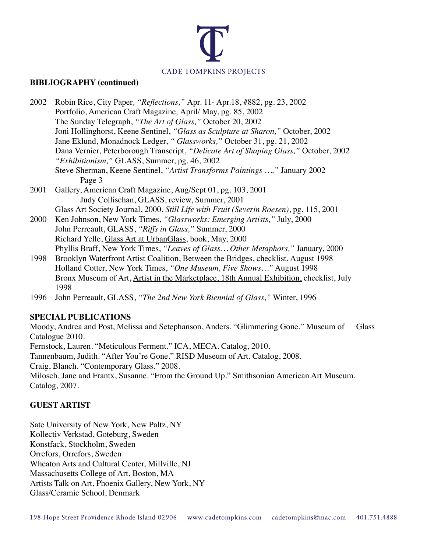

#### **BIBLIOGRAPHY (continued)**

| 2002 | Robin Rice, City Paper, "Reflections," Apr. 11- Apr. 18, #882, pg. 23, 2002            |
|------|----------------------------------------------------------------------------------------|
|      | Portfolio, American Craft Magazine, April/ May, pg. 85, 2002                           |
|      | The Sunday Telegraph, "The Art of Glass," October 20, 2002                             |
|      | Joni Hollinghorst, Keene Sentinel, "Glass as Sculpture at Sharon," October, 2002       |
|      | Jane Eklund, Monadnock Ledger, "Glassworks," October 31, pg. 21, 2002                  |
|      | Dana Vernier, Peterborough Transcript, "Delicate Art of Shaping Glass," October, 2002  |
|      | "Exhibitionism," GLASS, Summer, pg. 46, 2002                                           |
|      | Steve Sherman, Keene Sentinel, "Artist Transforms Paintings ," January 2002            |
|      | Page 3                                                                                 |
| 2001 | Gallery, American Craft Magazine, Aug/Sept 01, pg. 103, 2001                           |
|      | Judy Collischan, GLASS, review, Summer, 2001                                           |
|      | Glass Art Society Journal, 2000, Still Life with Fruit (Severin Roesen), pg. 115, 2001 |
| 2000 | Ken Johnson, New York Times, "Glassworks: Emerging Artists," July, 2000                |
|      | John Perreault, GLASS, "Riffs in Glass," Summer, 2000                                  |
|      | Richard Yelle, Glass Art at UrbanGlass, book, May, 2000                                |
|      | Phyllis Braff, New York Times, "Leaves of Glass Other Metaphors," January, 2000        |
|      | 1000 D 11 W C (A C C C C D C 1 D C 1 D C 1 11 C A C 1000                               |

- 1998 Brooklyn Waterfront Artist Coalition, Between the Bridges, checklist, August 1998 Holland Cotter, New York Times, *"One Museum, Five Shows…"* August 1998 Bronx Museum of Art, Artist in the Marketplace, 18th Annual Exhibition, checklist, July 1998
- 1996 John Perreault, GLASS, *"The 2nd New York Biennial of Glass,"* Winter, 1996

#### **SPECIAL PUBLICATIONS**

Moody, Andrea and Post, Melissa and Setephanson, Anders. "Glimmering Gone." Museum of Glass Catalogue 2010. Fernstock, Lauren. "Meticulous Ferment." ICA, MECA. Catalog, 2010. Tannenbaum, Judith. "After You're Gone." RISD Museum of Art. Catalog, 2008.

Craig, Blanch. "Contemporary Glass." 2008.

Milosch, Jane and Frantx, Susanne. "From the Ground Up." Smithsonian American Art Museum. Catalog, 2007.

# **GUEST ARTIST**

Sate University of New York, New Paltz, NY Kollectiv Verkstad, Goteburg, Sweden Konstfack, Stockholm, Sweden Orrefors, Orrefors, Sweden Wheaton Arts and Cultural Center, Millville, NJ Massachusetts College of Art, Boston, MA Artists Talk on Art, Phoenix Gallery, New York, NY Glass/Ceramic School, Denmark